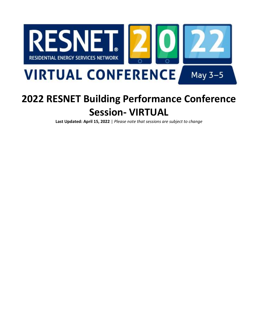

# **2022 RESNET Building Performance Conference Session- VIRTUAL**

**Last Updated: April 15, 2022** | *Please note that sessions are subject to change*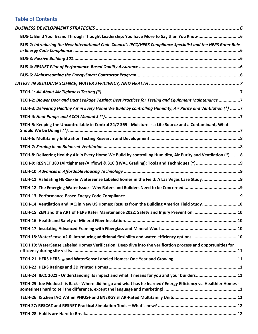# Table of Contents

| BUS-2: Introducing the New International Code Council's IECC/HERS Compliance Specialist and the HERS Rater Role |  |
|-----------------------------------------------------------------------------------------------------------------|--|
|                                                                                                                 |  |
|                                                                                                                 |  |
|                                                                                                                 |  |
|                                                                                                                 |  |
|                                                                                                                 |  |
| TECH-2: Blower Door and Duct Leakage Testing: Best Practices for Testing and Equipment Maintenance 7            |  |
| TECH-3: Delivering Healthy Air in Every Home We Build by controlling Humidity, Air Purity and Ventilation (*) 7 |  |
|                                                                                                                 |  |
| TECH-5: Keeping the Uncontrollable in Control 24/7 365 - Moisture is a Life Source and a Contaminant, What      |  |
|                                                                                                                 |  |
|                                                                                                                 |  |
| TECH-8: Delivering Healthy Air in Every Home We Build by controlling Humidity, Air Purity and Ventilation (*) 8 |  |
|                                                                                                                 |  |
|                                                                                                                 |  |
|                                                                                                                 |  |
|                                                                                                                 |  |
|                                                                                                                 |  |
| TECH-14: Ventilation and IAQ in New US Homes: Results from the Building America Field Study10                   |  |
| TECH-15: ZEN and the ART of HERS Rater Maintenance 2022: Safety and Injury Prevention 10                        |  |
|                                                                                                                 |  |
|                                                                                                                 |  |
| TECH 18: WaterSense V2.0: Introducing additional flexibility and water-efficiency options. 10                   |  |
| TECH 19: WaterSense Labeled Homes Verification: Deep dive into the verification process and opportunities for   |  |
|                                                                                                                 |  |
|                                                                                                                 |  |
| TECH-24: IECC 2021 - Understanding its impact and what it means for you and your builders11                     |  |
| TECH-25: Joe Medosch is Back - Where did he go and what has he learned? Energy Efficiency vs. Healthier Homes - |  |
|                                                                                                                 |  |
|                                                                                                                 |  |
|                                                                                                                 |  |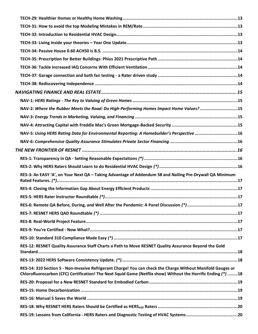| NAV-2: Where the Rubber Meets the Road: Do High-Performing Homes Impact Home Values?15                                                                                                                                        |  |
|-------------------------------------------------------------------------------------------------------------------------------------------------------------------------------------------------------------------------------|--|
|                                                                                                                                                                                                                               |  |
|                                                                                                                                                                                                                               |  |
| NAV-5: Using HERS Rating Data for Environmental Reporting: A Homebuilder's Perspective 16                                                                                                                                     |  |
|                                                                                                                                                                                                                               |  |
|                                                                                                                                                                                                                               |  |
|                                                                                                                                                                                                                               |  |
|                                                                                                                                                                                                                               |  |
| RES-3: An EASY 'A', on Your Next QA - Taking Advantage of Addendum 58 and Nailing Pre-Drywall QA Minimum                                                                                                                      |  |
|                                                                                                                                                                                                                               |  |
|                                                                                                                                                                                                                               |  |
| RES-6: Remote QA Before, During, and Well After the Pandemic: A Panel Discussion (*)17                                                                                                                                        |  |
|                                                                                                                                                                                                                               |  |
|                                                                                                                                                                                                                               |  |
|                                                                                                                                                                                                                               |  |
|                                                                                                                                                                                                                               |  |
| RES-12: RESNET Quality Assurance Staff Charts a Path to Move RESNET Quality Assurance Beyond the Gold                                                                                                                         |  |
|                                                                                                                                                                                                                               |  |
| RES-14: 310 Section 5 - Non-Invasive Refrigerant Charge! You can check the Charge Without Manifold Gauges or<br>Chlorofluorocarbon (CFC) Certification! The Next Squid Game (Netflix show) Without the Horrific Ending (*) 18 |  |
|                                                                                                                                                                                                                               |  |
|                                                                                                                                                                                                                               |  |
|                                                                                                                                                                                                                               |  |
|                                                                                                                                                                                                                               |  |
|                                                                                                                                                                                                                               |  |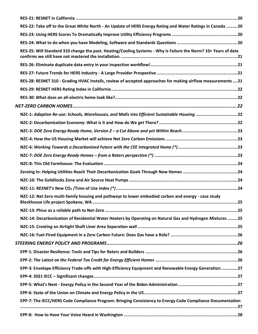| RES-22: Take off to the Great White North - An Update of HERS Energy Rating and Water Ratings in Canada 20      |  |
|-----------------------------------------------------------------------------------------------------------------|--|
|                                                                                                                 |  |
|                                                                                                                 |  |
| RES-25: Will Standard 310 change the past. Heating/Cooling Systems - Why is Failure the Norm? 10+ Years of data |  |
|                                                                                                                 |  |
|                                                                                                                 |  |
| RES-28: RESNET 310 - Grading HVAC Installs, review of accepted approaches for making airflow measurements 21    |  |
|                                                                                                                 |  |
|                                                                                                                 |  |
|                                                                                                                 |  |
| NZC-1: Adaptive Re-use: Schools, Warehouses, and Malls into Efficient Sustainable Housing 22                    |  |
|                                                                                                                 |  |
|                                                                                                                 |  |
|                                                                                                                 |  |
|                                                                                                                 |  |
|                                                                                                                 |  |
|                                                                                                                 |  |
|                                                                                                                 |  |
|                                                                                                                 |  |
|                                                                                                                 |  |
| NZC-12: Net Zero multi-family housing and pathways to lower embodied carbon and energy - case study             |  |
|                                                                                                                 |  |
| NZC-14: Decarbonization of Residential Water Heaters by Operating on Natural Gas and Hydrogen Mixtures 25       |  |
|                                                                                                                 |  |
|                                                                                                                 |  |
|                                                                                                                 |  |
|                                                                                                                 |  |
|                                                                                                                 |  |
| EPP-3: Envelope Efficiency Trade-offs with High-Efficiency Equipment and Renewable Energy Generation 27         |  |
|                                                                                                                 |  |
|                                                                                                                 |  |
|                                                                                                                 |  |
| EPP-7: The IECC/HERS Code Compliance Program: Bringing Consistency to Energy Code Compliance Documentation      |  |
|                                                                                                                 |  |
|                                                                                                                 |  |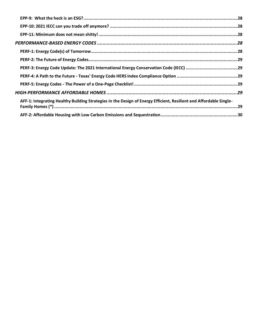| AFF-1: Integrating Healthy Building Strategies in the Design of Energy Efficient, Resilient and Affordable Single- |
|--------------------------------------------------------------------------------------------------------------------|
|                                                                                                                    |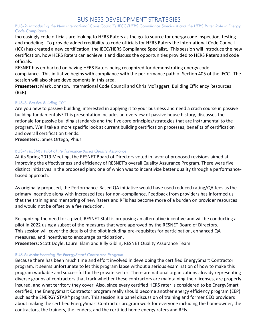# BUSINESS DEVELOPMENT STRATEGIES

#### <span id="page-5-1"></span><span id="page-5-0"></span>BUS-2: *Introducing the New International Code Council's IECC/HERS Compliance Specialist and the HERS Rater Role in Energy Code Compliance*

Increasingly code officials are looking to HERS Raters as the go-to source for energy code inspection, testing and modeling. To provide added credibility to code officials for HERS Raters the International Code Council (ICC) has created a new certification, the IECC/HERS Compliance Specialist. This session will introduce the new certification, how HERS Raters can achieve it and discuss the opportunities provided to HERS Raters and code officials.

RESNET has embarked on having HERS Raters being recognized for demonstrating energy code compliance. This initiative begins with compliance with the performance path of Section 405 of the IECC. The session will also share developments in this area.

**Presenters:** Mark Johnson, International Code Council and Chris McTaggart, Building Efficiency Resources (BER)

#### <span id="page-5-2"></span>BUS-3: *Passive Building 101*

Are you new to passive building, interested in applying it to your business and need a crash course in passive building fundamentals? This presentation includes an overview of passive house history, discusses the rationale for passive building standards and the five core principles/strategies that are instrumental to the program. We'll take a more specific look at current building certification processes, benefits of certification and overall certification trends.

**Presenters:** James Ortega, Phius

#### <span id="page-5-3"></span>BUS-4: *RESNET Pilot of Performance-Based Quality Assurance*

At its Spring 2019 Meeting, the RESNET Board of Directors voted in favor of proposed revisions aimed at improving the effectiveness and efficiency of RESNET's overall Quality Assurance Program. There were five distinct initiatives in the proposed plan; one of which was to incentivize better quality through a performancebased approach.

As originally proposed, the Performance-Based QA initiative would have used reduced rating/QA fees as the primary incentive along with increased fees for non-compliance. Feedback from providers has informed us that the training and mentoring of new Raters and RFIs has become more of a burden on provider resources and would not be offset by a fee reduction.

Recognizing the need for a pivot, RESNET Staff is proposing an alternative incentive and will be conducting a pilot in 2022 using a subset of the measures that were approved by the RESNET Board of Directors. This session will cover the details of the pilot including pre-requisites for participation, enhanced QA measures, and incentives to encourage participation.

**Presenters:** Scott Doyle, Laurel Elam and Billy Giblin**,** RESNET Quality Assurance Team

#### <span id="page-5-4"></span>BUS-6: *Mainstreaming the EnergySmart Contractor Program*

Because there has been much time and effort involved in developing the certified EnergySmart Contractor program, it seems unfortunate to let this program lapse without a serious examination of how to make this program workable and successful for the private sector. There are national organizations already representing diverse groups of contractors that track whether these contractors are maintaining their licenses, are properly insured, and what territory they cover. Also, since every certified HERS rater is considered to be EnergySmart certified, the EnergySmart Contractor program really should become another energy efficiency program (EEP) such as the ENERGY STAR® program. This session is a panel discussion of training and former CEQ providers about making the certified EnergySmart Contractor program work for everyone including the homeowner, the contractors, the trainers, the lenders, and the certified home energy raters and RFIs.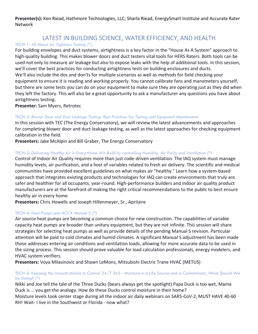**Presenter(s):** Ken Riead, Hathmore Technologies, LLC; Sharla Riead, EnergySmart Institute and Accurate Rater Network

# LATEST IN BUILDING SCIENCE, WATER EFFICIENCY, AND HEALTH

#### <span id="page-6-1"></span><span id="page-6-0"></span>TECH-1: *All About Air Tightness Testing (\*)*

For building envelopes and duct systems, airtightness is a key factor in the "House As A System" approach to high-quality building. This makes blower doors and duct testers vital tools for HERS Raters. Both tools can be used not only to measure air leakage but also to expose leaks with the help of additional tools. In this session, we'll cover the best practices for conducting airtightness tests on building enclosures and ducts. We'll also include the dos and don'ts for multiple scenarios as well as methods for field checking your equipment to ensure it is reading and working properly. You cannot calibrate fans and manometers yourself, but there are some tests you can do on your equipment to make sure they are operating just as they did when they left the factory. This will also be a great opportunity to ask a manufacturer any questions you have about airtightness testing.

**Presenter:** Sam Myers, Retrotec

#### <span id="page-6-2"></span>TECH-2: *Blower Door and Duct Leakage Testing: Best Practices for Testing and Equipment Maintenance*

In this session with TEC (The Energy Conservatory), we will review the latest advancements and approaches for completing blower door and duct leakage testing, as well as the latest approaches for checking equipment calibration in the field.

**Presenters:** Jake McAlpin and Bill Graber, The Energy Conservatory

#### <span id="page-6-3"></span>TECH-3: *Delivering Healthy Air in Every Home We Build by controlling Humidity, Air Purity and Ventilation (\*)*

Control of Indoor Air Quality requires more than just code-driven ventilation. The IAQ system must manage humidity levels, air purification, and a host of variables related to fresh air delivery. The scientific and medical communities have provided excellent guidelines on what makes air "healthy." Learn how a system-based approach that integrates existing products and technologies for IAQ can create environments that truly are safer and healthier for all occupants, year-round. High-performance builders and indoor air quality product manufacturers are at the forefront of making the right critical recommendations to the public to best ensure healthy air in every home.

**Presenters:** Chris Howells and Joseph Hillenmeyer, Sr., Aprilaire

#### <span id="page-6-4"></span>TECH-4: *Heat Pumps and ACCA Manual S (\*)*

Air source heat pumps are becoming a common choice for new construction. The capabilities of variable capacity heat pumps are broader than unitary equipment, but they are not infinite. This session will share strategies for selecting heat pumps as well as provide details of the pending Manual S revision. Particular attention will be paid to cold climates and humid climates. A significant Manual S adjustment has been made those addresses entering air conditions and ventilation loads, allowing for more accurate data to be used in the sizing process. This session should prove valuable for load calculation professionals, energy modelers, and HVAC system verifiers.

**Presenters:** Voya Milasinovic and Shawn LeMons, Mitsubishi Electric Trane HVAC (METUS)

#### <span id="page-6-5"></span>TECH-5: Keeping the Uncontrollable in Control 24/7 365 - Moisture is a Life Source and a Contaminant, What Should We be Doing? *(\*)*

Nikki and Joe tell the tale of the Three Ducks (bears always get the spotlight) Papa Duck is too wet, Mama Duck is … you get the analogy. How do these Ducks control moisture in their home?

Moisture levels took center stage during all the indoor air daily webinars on SARS-CoV-2, MUST HAVE 40-60 RH! Wait- I live in the Southwest or Florida - now what?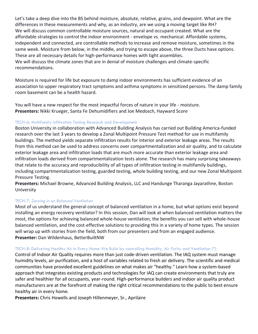Let's take a deep dive into the BS behind moisture, absolute, relative, grains, and dewpoint. What are the differences in these measurements and why, as an industry, are we using a moving target like RH? We will discuss common controllable moisture sources, natural and occupant created. What are the affordable strategies to control the indoor environment - envelope vs. mechanical. Affordable systems, independent and connected, are controllable methods to increase and remove moisture, sometimes in the same week. Moisture from below, in the middle, and trying to escape above, the three Ducts have options. These are all necessary details for high-performance homes with tight assemblies. We will discuss the climate zones that are in denial of moisture challenges and climate-specific recommendations.

Moisture is required for life but exposure to damp indoor environments has sufficient evidence of an association to upper respiratory tract symptoms and asthma symptoms in sensitized persons. The damp family room basement can be a health hazard.

You will have a new respect for the most impactful forces of nature in your life - moisture. **Presenters:** Nikki Krueger, Santa Fe Dehumidifiers and Joe Medosch, Hayward Score

#### <span id="page-7-0"></span>TECH-6: Multifamily Infiltration Testing Research and Development

Boston University in collaboration with Advanced Building Analysis has carried out Building America-funded research over the last 3 years to develop a Zonal Multipoint Pressure Test method for use in multifamily buildings. The method yields separate infiltration results for interior and exterior leakage areas. The results from this method can be used to address concerns over compartmentalization and air quality, and to calculate exterior leakage area and infiltration loads that are much more accurate than exterior leakage area and infiltration loads derived from compartmentalization tests alone. The research has many surprising takeaways that relate to the accuracy and reproducibility of all types of infiltration testing in multifamily buildings, including compartmentalization testing, guarded testing, whole building testing, and our new Zonal Multipoint Pressure Testing.

**Presenters:** Michael Browne, Advanced Building Analysis, LLC and Handunge Tharanga Jayarathne, Boston University

#### <span id="page-7-1"></span>TECH-7: *Zeroing in on Balanced Ventilation*

Most of us understand the general concept of balanced ventilation in a home, but what options exist beyond installing an energy recovery ventilator? In this session, Dan will look at when balanced ventilation matters the most, the options for achieving balanced whole-house ventilation, the benefits you can sell with whole-house balanced ventilation, and the cost-effective solutions to providing this in a variety of home types. The session will wrap up with stories from the field, both from our presenters and from an engaged audience. **Presenter:** Dan Wildenhaus, BetterBuiltNW

#### <span id="page-7-2"></span>TECH-8: Delivering Healthy Air in Every Home We Build by controlling Humidity, Air Purity and Ventilation (\*)

Control of Indoor Air Quality requires more than just code-driven ventilation. The IAQ system must manage humidity levels, air purification, and a host of variables related to fresh air delivery. The scientific and medical communities have provided excellent guidelines on what makes air "healthy." Learn how a system-based approach that integrates existing products and technologies for IAQ can create environments that truly are safer and healthier for all occupants, year-round. High-performance builders and indoor air quality product manufacturers are at the forefront of making the right critical recommendations to the public to best ensure healthy air in every home.

**Presenters:** Chris Howells and Joseph Hillenmeyer, Sr., Aprilaire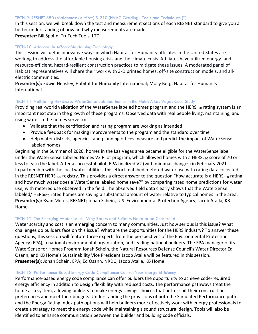#### <span id="page-8-0"></span>TECH-9: RESNET 380 (Airtightness/Airflow) & 310 (HVAC Grading): Tools and Techniques (\*)

In this session, we will break down the test and measurement sections of each RESNET standard to give you a better understanding of how and why measurements are made. **Presenter:** Bill Spohn, TruTech Tools, LTD

#### <span id="page-8-1"></span>TECH-10: *Advances in Affordable Housing Technology*

This session will detail innovative ways in which Habitat for Humanity affiliates in the United States are working to address the affordable housing crisis and the climate crisis. Affiliates have utilized energy- and resource-efficient, hazard-resilient construction practices to mitigate these issues. A moderated panel of Habitat representatives will share their work with 3-D printed homes, off-site construction models, and allelectric communities.

**Presenter(s):** Edwin Hensley, Habitat for Humanity International; Molly Berg, Habitat for Humanity International

#### <span id="page-8-2"></span>TECH-11: Validating HERS<sub>H20</sub> & WaterSense Labeled homes in the Field: A Las Vegas Case Study

Providing real-world validation of the WaterSense labeled homes program and the HERS<sub>H20</sub> rating system is an important next step in the growth of these programs. Observed data with real people living, maintaining, and using water in the homes serve to:

- Validate that the certification and rating program are working as intended
- Provide feedback for making improvements to the program and the standard over time
- Help water districts, agencies, and planning offices measure and predict the impact of WaterSense labeled homes

Beginning in the Summer of 2020, homes in the Las Vegas area became eligible for the WaterSense label under the WaterSense Labeled Homes V2 Pilot program, which allowed homes with a HERS<sub>H20</sub> score of 70 or less to earn the label. After a successful pilot, EPA finalized V2 (with minimal changes) in February 2021. In partnership with the local water utilities, this effort matched metered water use with rating data collected in the RESNET HERS<sub>H20</sub> registry. This provides a direct answer to the question "how accurate is a HERS<sub>H20</sub> rating and how much water does a WaterSense labeled home save?" by comparing rated home predictions for water use, with metered use observed in the field. The observed field data clearly shows that the WaterSense labeled/ HERS<sub>H20</sub> rated homes are saving a substantial amount of water relative to typical homes in the area. **Presenter(s):** Ryan Meres, RESNET; Jonah Schein, U.S. Environmental Protection Agency; Jacob Atalla, KB Home

#### <span id="page-8-3"></span>TECH-12: The Emerging Water Issue - Why Raters and Builders Need to be Concerned

Water scarcity and cost is an emerging concern to many communities. Just how serious is this issue? What challenges do builders face on this issue? What are the opportunities for the HERS industry? To answer these questions, this session will feature three experts from the perspectives of the Environmental Protection Agency (EPA), a national environmental organization, and leading national builders. The EPA manager of its WaterSense for Homes Program Jonah Schein, the Natural Resources Defense Council's Water Director Ed Osann, and KB Home's Sustainability Vice President Jacob Atalla will be featured in this session. **Presenter(s)**: Jonah Schein, EPA; Ed Osann, NRDC; Jacob Atalla, KB Home

#### <span id="page-8-4"></span>TECH-13: Performance-Based Energy Code Compliance: Control Your Energy Efficiency

Performance-based energy code compliance can offer builders the opportunity to achieve code-required energy efficiency in addition to design flexibility with reduced costs. The performance pathways treat the home as a system, allowing builders to make energy savings choices that better suit their construction preferences and meet their budgets. Understanding the provisions of both the Simulated Performance path and the Energy Rating Index path options will help builders more effectively work with energy professionals to create a strategy to meet the energy code while maintaining a sound structural design. Tools will also be identified to enhance communication between the builder and building code officials.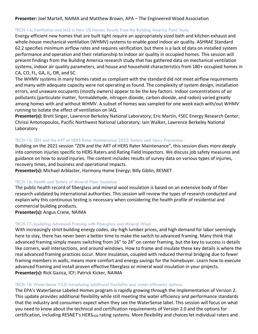#### **Presenter:** Joel Martell, NAIMA and Matthew Brown, APA – The Engineered Wood Association

#### <span id="page-9-0"></span>TECH-14: Ventilation and IAQ in New US Homes: Results from the Building America Field Study

Energy-efficient new homes that are built tight require an appropriately sized bath and kitchen exhaust and whole-house mechanical ventilation (WHMV) systems to enable good indoor air quality. ASHRAE Standard 62.2 specifies minimum airflow rates and requires verification, but there is a lack of data on installed system performance and operation and their relationship to indoor air quality in occupied homes. This session will present findings from the Building America research study that has gathered data on mechanical ventilation systems, indoor air quality parameters, and house and household characteristics from 180+ occupied homes in CA, CO, FL, GA, IL, OR, and SC.

The WHMV systems in many homes rated as compliant with the standard did not meet airflow requirements and many with adequate capacity were not operating as found. The complexity of system design, installation errors, and unaware occupants (mostly owners) appear to be the key factors. Indoor concentrations of air pollutants (particulate matter, formaldehyde, nitrogen dioxide, carbon dioxide, and radon) varied greatly among homes with and without WHMV. A subset of homes was sampled for one week each with/out WHMV running to isolate the effect of ventilation on IAQ.

**Presenter(s):** Brett Singer, Lawrence Berkeley National Laboratory; Eric Martin, FSEC Energy Research Center; Chrissi Antonopoulos, Pacific Northwest National Laboratory; Iain Walker, Lawrence Berkeley National Laboratory

#### <span id="page-9-1"></span>TECH-15: ZEN and the ART of HERS Rater Maintenance 2022: Safety and Injury Prevention

Building on the 2021 session "ZEN and the ART of HERS Rater Maintenance", this session dives more deeply into common injuries specific to HERS Raters and Rating Field Inspectors. We discuss job safety measures and guidance on how to avoid injuries. The content includes results of survey data on various types of injuries, recovery times, and business and operational impacts.

**Presenter(s):** Michael Arblaster, Harmony Home Energy; Billy Giblin, RESNET

#### <span id="page-9-2"></span>TECH-16: Health and Safety of Mineral Fiber Insulation

The public health record of fiberglass and mineral wool insulation is based on an extensive body of fiber research validated by international authorities. This session will review the types of research conducted and explain why this continuous testing is necessary when considering the health profile of residential and commercial building products.

**Presenter(s):** Angus Crane, NAIMA

#### <span id="page-9-3"></span>TECH-17: Insulating Advanced Framing with Fiberglass and Mineral Wool

With increasingly strict building energy codes, sky-high lumber prices, and high demand for labor seemingly here to stay, there has never been a better time to make the switch to advanced framing. Many think that advanced framing simply means switching from 16" to 24" on center framing, but the key to success is details like corners, wall intersections, and around windows. How to frame and insulate these key details is where the real advanced framing practices occur. More insulation, coupled with reduced thermal bridging due to fewer framing members in walls, means more comfort and energy savings for the homebuyer. Learn how to execute advanced framing and install proven effective fiberglass or mineral wool insulation in your projects. **Presenter(s):** Rick Gazica, ICF; Patrick Kicker, NAIMA

#### <span id="page-9-4"></span>TECH 18: WaterSense V2.0: Introducing additional flexibility and water-efficiency options.

The EPA's WaterSense Labeled Homes program is rapidly growing through the implementation of Version 2. This update provides additional flexibility while still meeting the water efficiency and performance standards that the industry and consumers expect when they see the WaterSense label. This session will focus on what you need to know about the technical and certification requirements of Version 2.0 and the options for certification, including RESNET's HERS<sub>H20</sub> rating systems. More flexibility and choices let individual raters and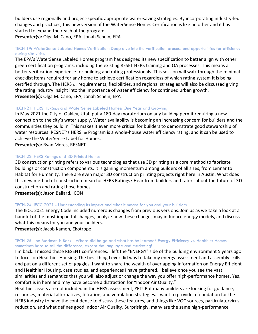builders use regionally and project-specific appropriate water-saving strategies. By incorporating industry-led changes and practices, this new version of the WaterSense Homes Certification is like no other and it has started to expand the reach of the program.

**Presenter(s):** Olga M. Cano, EPA; Jonah Schein, EPA

#### <span id="page-10-0"></span>TECH 19: WaterSense Labeled Homes Verification: Deep dive into the verification process and opportunities for efficiency during site visits.

The EPA's WaterSense Labeled Homes program has designed its new specification to better align with other green certification programs, including the existing RESET HERS training and QA processes. This means a better verification experience for building and rating professionals. This session will walk through the minimal checklist items required for any home to achieve certification regardless of which rating system it is being certified through. The HERS $_{H20}$  requirements, flexibilities, and regional strategies will also be discussed giving the rating industry insight into the importance of water efficiency for continued urban growth. **Presenter(s):** Olga M. Cano, EPA; Jonah Schein, EPA

#### <span id="page-10-1"></span>TECH-21: HERS HERSH20 and WaterSense Labeled Homes: One Year and Growing

In May 2021 the City of Oakley, Utah put a 180-day moratorium on any building permit requiring a new connection to the city's water supply. Water availability is becoming an increasing concern for builders and the communities they build in. This makes it even more critical for builders to demonstrate good stewardship of water resources. RESNET's HERS<sub>H20</sub> Program is a whole-house water efficiency rating, and it can be used to achieve the WaterSense Label for Homes.

**Presenter(s):** Ryan Meres, RESNET

#### <span id="page-10-2"></span>TECH-22: HERS Ratings and 3D Printed Homes

3D construction printing refers to various technologies that use 3D printing as a core method to fabricate buildings or construction components. It is gaining momentum among builders of all sizes, from Lennar to Habitat for Humanity. There are even major 3D construction printing projects right here in Austin. What does this new method of construction mean for HERS Ratings? Hear from builders and raters about the future of 3D construction and rating those homes.

**Presenter(s):** Jason Ballard, ICON

#### <span id="page-10-3"></span>TECH-24: IECC 2021 - Understanding its impact and what it means for you and your builders

The IECC 2021 Energy Code included numerous changes from previous versions. Join us as we take a look at a handful of the most impactful changes, analyze how these changes may influence energy models, and discuss what this means for you and your builders.

**Presenter(s):** Jacob Kamen, Ekotrope

#### <span id="page-10-4"></span>TECH-25: Joe Medosch is Back - Where did he go and what has he learned? Energy Efficiency vs. Healthier Homes sometimes hard to tell the difference, except the language and marketing!

I'm back. I missed these RESENT conferences. I left the "ENERGY" side of the building environment 5 years ago to focus on Healthier Housing. The best thing I ever did was to take my energy assessment and assembly skills and put on a different set of goggles. I want to share the wealth of overlapping information on Energy Efficient and Healthier Housing, case studies, and experiences I have gathered. I believe once you see the vast similarities and semantics that you will also adjust or change the way you offer high-performance homes. Yes, comfort is in here and may have become a distraction for "Indoor Air Quality."

Healthier assets are not included in the HERS assessment, YET! But many builders are looking for guidance, resources, material alternatives, filtration, and ventilation strategies. I want to provide a foundation for the HERS industry to have the confidence to discuss these features, and things like VOC sources, particulate/virus reduction, and what defines good Indoor Air Quality. Surprisingly, many are the same high-performance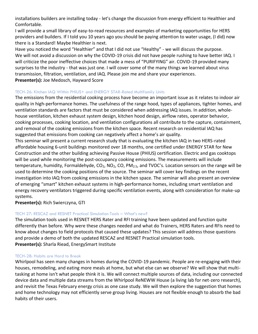installations builders are installing today - let's change the discussion from energy efficient to Healthier and Comfortable.

I will provide a small library of easy-to-read resources and examples of marketing opportunities for HERS providers and builders. If I told you 10 years ago you should be paying attention to water usage, (I did) now there is a Standard! Maybe Healthier is next.

Have you noticed the word "Healthier" and that I did not use "Healthy" - we will discuss the purpose. We will not avoid a discussion on why the COVID-19 crisis did not have people rushing to have better IAQ. I will criticize the poor ineffective choices that made a mess of "PURIFYING" air. COVID-19 provided many surprises to the industry - that was just one. I will cover some of the many things we learned about virus transmission, filtration, ventilation, and IAQ. Please join me and share your experiences. **Presenter(s):** Joe Medosch, Hayward Score

#### <span id="page-11-0"></span>TECH-26: Kitchen IAQ Within PHIUS+ and ENERGY STAR-Rated Multifamily Units

The emissions from the residential cooking process have become an important issue as it relates to indoor air quality in high-performance homes. The usefulness of the range hood, types of appliances, tighter homes, and ventilation standards are factors that must be considered when addressing IAQ issues. In addition, wholehouse ventilation, kitchen exhaust system design, kitchen hood design, airflow rates, operator behavior, cooking processes, cooking location, and ventilation configurations all contribute to the capture, containment, and removal of the cooking emissions from the kitchen space. Recent research on residential IAQ has suggested that emissions from cooking can negatively affect a home's air quality.

This seminar will present a current research study that is evaluating the kitchen IAQ in two HERS-rated affordable housing 6-unit buildings monitored over 18 months, one certified under ENERGY STAR for New Construction and the other building achieving Passive House (PHIUS) certification. Electric and gas cooktops will be used while monitoring the post-occupancy cooking emissions. The measurements will include temperature, humidity, Formaldehyde,  $CO<sub>2</sub>$ , NO<sub>2</sub>, CO, PM<sub>2.5</sub>, and TVOC's. Location sensors on the range will be used to determine the cooking positions of the source. The seminar will cover key findings on the recent investigation into IAQ from cooking emissions in the kitchen space. The seminar will also present an overview of emerging "smart" kitchen exhaust systems in high-performance homes, including smart ventilation and energy recovery ventilators triggered during specific ventilation events, along with consideration for make-up systems.

**Presenter(s):** Rich Swierczyna, GTI

#### <span id="page-11-1"></span>TECH 27: RESCAZ and RESNET Practical Simulation Tools – What's new?

The simulation tools used in RESNET HERS Rater and RFI training have been updated and function quite differently than before. Why were these changes needed and what do Trainers, HERS Raters and RFIs need to know about changes to field protocols that caused these updates? This session will address those questions and provide a demo of both the updated RESCAZ and RESNET Practical simulation tools. **Presenter(s):** Sharla Riead, EnergySmart Institute

#### <span id="page-11-2"></span>TECH-28: Habits are Hard to Break

Whirlpool has seen many changes in homes during the COVID-19 pandemic. People are re-engaging with their houses, remodeling, and eating more meals at home, but what else can we observe? We will show that multitasking at home isn't what people think it is. We will connect multiple sources of data, including our connected device data and multiple data streams from the Whirlpool ReNEWW House (a living lab for net-zero research), and revisit the Texas February energy crisis as one case study. We will then explore the suggestion that homes and home technology may not efficiently serve group living. Houses are not flexible enough to absorb the bad habits of their users.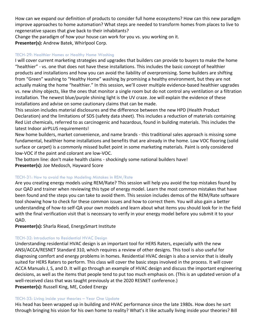How can we expand our definition of products to consider full home ecosystems? How can this new paradigm improve approaches to home automation? What steps are needed to transform homes from places to live to regenerative spaces that give back to their inhabitants?

Change the paradigm of how your house can work for you vs. you working on it. **Presenter(s):** Andrew Batek, Whirlpool Corp.

#### <span id="page-12-0"></span>TECH-29: Healthier Homes or Healthy Home Washing

I will cover current marketing strategies and upgrades that builders can provide to buyers to make the home "healthier" - vs. one that does not have these installations. This includes the basic concept of healthier products and installations and how you can avoid the liability of overpromising. Some builders are shifting from "Green" washing to "Healthy Home" washing by promising a healthy environment, but they are not actually making the home "healthier." In this session, we'll cover multiple evidence-based healthier upgrades vs. new shiny objects, like the ones that monitor a single room but do not control any ventilation or a filtration installation. The newest blue/purple shining light is the UV craze. Joe will explain the evidence of these installations and advise on some cautionary claims that can be made.

This session includes material disclosures and the difference between the new HPD (Health Product Declaration) and the limitations of SDS (safety data sheet). This includes a reduction of materials containing Red List chemicals, referred to as carcinogenic and hazardous, found in building materials. This includes the latest Indoor airPLUS requirements!

New home builders, market convenience, and name brands - this traditional sales approach is missing some fundamental, healthier home installations and benefits that are already in the home. Low VOC flooring (solid surface or carpet) is a commonly missed bullet point in some marketing materials. Paint is only considered low-VOC if the paint and colorant are low-VOC.

The bottom line: don't make health claims - shockingly some national builders have! **Presenter(s):** Joe Medosch, Hayward Score

#### <span id="page-12-1"></span>TECH-31: How to avoid the top Modeling Mistakes in REM/Rate

Are you creating energy models using REM/Rate? This session will help you avoid the top mistakes found by our QAD and trainer when reviewing this type of energy model. Learn the most common mistakes that have been found and the steps you can take to avoid them. This session includes demos of the REM/Rate software tool showing how to check for these common issues and how to correct them. You will also gain a better understanding of how-to self-QA your own models and learn about what items you should look for in the field with the final verification visit that is necessary to verify in your energy model before you submit it to your QAD.

**Presenter(s):** Sharla Riead, EnergySmart Institute

### <span id="page-12-2"></span>TECH-32: Introduction to Residential HVAC Design

Understanding residential HVAC design is an important tool for HERS Raters, especially with the new ANSI/ACCA/RESNET Standard 310, which requires a review of other designs. This tool is also useful for diagnosing comfort and energy problems in homes. Residential HVAC design is also a service that is ideally suited for HERS Raters to perform. This class will cover the basic steps involved in the process. It will cover ACCA Manuals J, S, and D. It will go through an example of HVAC design and discuss the important engineering decisions, as well as the items that people tend to put too much emphasis on. (This is an updated version of a well-received class that was taught previously at the 2020 RESNET conference.) **Presenter(s):** Russell King, ME, Coded Energy

### <span id="page-12-3"></span>TECH-33: Living inside your theories – Year One Update

His head has been wrapped up in building and HVAC performance since the late 1980s. How does he sort through bringing his vision for his own home to reality? What's it like actually living inside your theories? Bill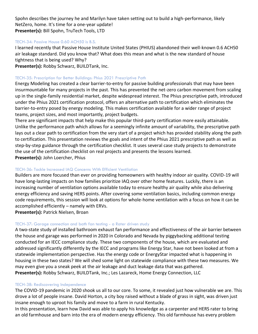Spohn describes the journey he and Marilyn have taken setting out to build a high-performance, likely NetZero, home. It's time for a one-year update! **Presenter(s):** Bill Spohn, TruTech Tools, LTD

#### <span id="page-13-0"></span>TECH-34: Passive House 0.60 ACH50 is B.S.

I learned recently that Passive House Institute United States (PHIUS) abandoned their well-known 0.6 ACH50 air leakage standard. Did you know that? What does this mean and what is the new standard of house tightness that is being used? Why?

**Presenter(s):** Robby Schwarz, BUILDTank, Inc.

#### <span id="page-13-1"></span>TECH-35: Prescription for Better Buildings: Phius 2021 Prescriptive Path

Energy Modeling has created a clear barrier-to-entry for passive building professionals that may have been insurmountable for many projects in the past. This has prevented the net-zero carbon movement from scaling up in the single-family residential market, despite widespread interest. The Phius prescriptive path, introduced under the Phius 2021 certification protocol, offers an alternative path to certification which eliminates the barrier-to-entry posed by energy modeling. This makes certification available for a wider range of project teams, project sizes, and most importantly, project budgets.

There are significant impacts that help make this popular third-party certification more easily attainable. Unlike the performance path which allows for a seemingly infinite amount of variability, the prescriptive path lays out a clear path to certification from the very start of a project which has provided stability along the path to certification. This presentation reviews the goals and intent of the Phius 2021 prescriptive path as well as step-by-step guidance through the certification checklist. It uses several case study projects to demonstrate the use of the certification checklist on real projects and presents the lessons learned. **Presenter(s):** John Loercher, Phius

#### <span id="page-13-2"></span>TECH-36: Tackle Increased IAQ Concerns With Efficient Ventilation

Builders are more focused than ever on providing homeowners with healthy indoor air quality. COVID-19 will have long-lasting impacts on how families prioritize IAQ over other home features. Luckily, there is an increasing number of ventilation options available today to ensure healthy air quality while also delivering energy efficiency and saving HERS points. After covering some ventilation basics, including common energy code requirements, this session will look at options for whole-home ventilation with a focus on how it can be accomplished efficiently – namely with ERVs.

**Presenter(s):** Patrick Nielsen, Broan

#### <span id="page-13-3"></span>TECH-37: Garage connection and bath fan testing - a Rater driven study

A two-state study of installed bathroom exhaust fan performance and effectiveness of the air barrier between the house and garage was performed in 2020 in Colorado and Nevada by piggybacking additional testing conducted for an IECC compliance study. These two components of the house, which are evaluated and addressed significantly differently by the IECC and programs like Energy Star, have not been looked at from a statewide implementation perspective. Has the energy code or EnergyStar impacted what is happening in housing in these two states? We will shed some light on statewide compliance with these two measures. We may even give you a sneak peek at the air leakage and duct leakage data that was gathered. **Presenter(s):** Robby Schwarz, BUILDTank, Inc.; Les Lazareck, Home Energy Connection, LLC

#### <span id="page-13-4"></span>TECH-38: Rediscovering Independence

The COVID-19 pandemic in 2020 shook us all to our core. To some, it revealed just how vulnerable we are. This drove a lot of people insane. David Horton, a city boy raised without a blade of grass in sight, was driven just insane enough to uproot his family and move to a farm in rural Kentucky.

In this presentation, learn how David was able to apply his knowledge as a carpenter and HERS rater to bring an old farmhouse and barn into the era of modern energy efficiency. This old farmhouse has every problem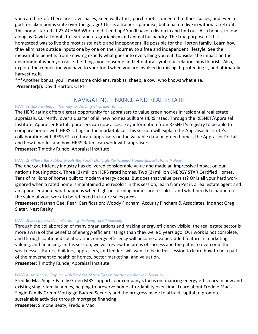you can think of. There are crawlspaces, knee wall attics, porch roofs connected to floor spaces, and even a god-forsaken bonus suite over the garage! This is a trainer's paradise, but a pain to live in without a retrofit. This home started at 23 ACH50! Where did it end up? You'll have to listen in and find out. As a bonus, follow along as David attempts to learn about agrarianism and animal husbandry. The true purpose of this homestead was to live the most sustainable and independent life possible for the Horton family. Learn how they eliminate outside inputs one by one on their journey to a free and independent lifestyle. See the measurable benefits from knowing exactly what goes into everything you eat. Consider the impact on the environment when you raise the things you consume and let natural symbiotic relationships flourish. Also, explore the connection you have to your food when you are involved in raising it, protecting it, and ultimately harvesting it.

\*\*\*Another bonus, you'll meet some chickens, rabbits, sheep, a cow, who knows what else**. Presenter(s):** David Horton, QTPI

# NAVIGATING FINANCE AND REAL ESTATE

#### <span id="page-14-1"></span><span id="page-14-0"></span>NAV-1: *HERS Ratings - The Key to Valuing of Green Homes*

The HERS rating offers a great opportunity for appraisers to value green homes in residential real estate appraisals. Currently, over a quarter of all new homes built are HERS rated. Through the RESNET/Appraisal Institute, Appraiser Portal appraisers can now access key information from RESNET's registry to be able to compare homes with HERS ratings in the marketplace. This session will explain the Appraisal Institute's collaboration with RESNET to educate appraisers on the valuable data on green homes, the Appraiser Portal and how it works, and how HERS Raters can work with appraisers.

**Presenter:** Timothy Runde, Appraisal Institute

#### <span id="page-14-2"></span>NAV-2: *Where the Rubber Meets the Road: Do High-Performing Homes Impact Home Values?*

The energy efficiency industry has delivered considerable value and made an impressive impact on our nation's housing stock. Three (3) million HERS rated homes. Two (2) million ENERGY STAR Certified Homes. Tens of millions of homes built to modern energy codes. But does that value persist? Or is all your hard work ignored when a rated home is maintained and resold? In this session, learn from Pearl, a real estate agent and an appraiser about what happens when high-performing homes are re-sold -- and what needs to happen for the value of your work to be reflected in future sales prices.

**Presenters:** Nathan Gee, Pearl Certification; Woody Fincham, Accurity Fincham & Associates, Inc and; Greg Slater, Nest Realty

#### <span id="page-14-3"></span>NAV-3: *Energy Trends in Marketing, Valuing, and Financing*

Through the collaboration of many organizations and making energy efficiency visible, the real estate sector is more aware of the benefits of energy-efficient ratings than they were 5 years ago. Our work is not complete, and through continued collaboration, energy efficiency will become a value-added feature in marketing, valuing, and financing. In this session, we will review the areas of success and the paths to overcome the weaknesses. Raters, builders, appraisers, and lenders will want to be in this session to learn how to be a part of the movement to healthier homes, better marketing, and valuation. **Presenter:** Timothy Runde, Appraisal Institute

<span id="page-14-4"></span>NAV-4: Attracting Capital with Freddie Mac's Green Mortgage-Backed Security

Freddie Mac Single-Family Green MBS supports our company's focus on financing energy efficiency in new and existing single-family homes, helping to preserve home affordability over time. Learn about Freddie Mac's Single-Family Green Mortgage-Backed Security and the progress made to attract capital to promote sustainable activities through mortgage financing.

**Presenter:** Simone Beaty, Freddie Mac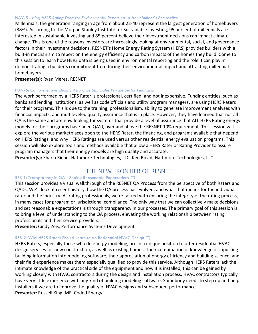#### <span id="page-15-0"></span>NAV-5: *Using HERS Rating Data for Environmental Reporting: A Homebuilder's Perspective*

Millennials, the generation ranging in age from about 22-40 represent the largest generation of homebuyers (38%). According to the Morgan Stanley Institute for Sustainable Investing, 95 percent of millennials are interested in sustainable investing and 85 percent believe their investment decisions can impact climate change. This is one of the reasons investors are increasingly looking at environmental, social, and governance factors in their investment decisions. RESNET's Home Energy Rating System (HERS) provides builders with a built-in mechanism to report on the energy efficiency and carbon impacts of the homes they build. Come to this session to learn how HERS data is being used in environmental reporting and the role it can play in demonstrating a builder's commitment to reducing their environmental impact and attracting millennial homebuyers.

#### **Presenter(s):** Ryan Meres, RESNET

#### <span id="page-15-1"></span>NAV-6: *Comprehensive Quality Assurance Stimulates Private Sector Financing*

The work performed by a HERS Rater is professional, certified, and not inexpensive. Funding entities, such as banks and lending institutions, as well as code officials and utility program managers, are using HERS Raters for their programs. This is due to the training, professionalism, ability to generate improvement analyses with financial impacts, and multileveled quality assurance that is in place. However, they have learned that not all QA is the same and are now looking for systems that provide a level of assurance that ALL HERS Rating energy models for their programs have been QA'd, over and above the RESNET 10% requirement. This session will explore the various marketplaces open to the HERS Rater, the financing, and programs available that depend on HERS Ratings, and why HERS Ratings are used versus other residential energy evaluation programs. This session will also explore tools and methods available that allow a HERS Rater or Rating Provider to assure program managers that their energy models are high quality and accurate.

**Presenter(s):** Sharla Riead, Hathmore Technologies, LLC; Ken Riead, Hathmore Technologies, LLC

# THE NEW FRONTIER OF RESNET

#### <span id="page-15-3"></span><span id="page-15-2"></span>RES-1: Transparency in QA - Setting Reasonable Expectations *(\*)*

This session provides a visual walkthrough of the RESNET QA Process from the perspective of both Raters and QADs. We'll look at recent history, how the QA process has evolved, and what that means for the individual rater and the industry. As rating professionals, we're tasked with ensuring the integrity of the rating process, in many cases for program or jurisdictional compliance. The only way that we can collectively make decisions and set reasonable expectations is through transparency in our processes. The primary goal of this session is to bring a level of understanding to the QA process, elevating the working relationship between rating professionals and their service providers.

**Presenter:** Cindy Zeis, Performance Systems Development

#### <span id="page-15-4"></span>RES-2: Why HERS Raters Should Learn to do Residential HVAC Design *(\*)*

HERS Raters, especially those who do energy modeling, are in a unique position to offer residential HVAC design services for new construction, as well as existing homes. Their combination of knowledge of inputting building information into modeling software, their appreciation of energy efficiency and building science, and their field experience makes them especially qualified to provide this service. Although HERS Raters lack the intimate knowledge of the practical side of the equipment and how it is installed, this can be gained by working closely with HVAC contractors during the design and installation process. HVAC contractors typically have very little experience with any kind of building modeling software. Somebody needs to step up and help installers if we are to improve the quality of HVAC designs and subsequent performance. **Presenter:** Russell King, ME, Coded Energy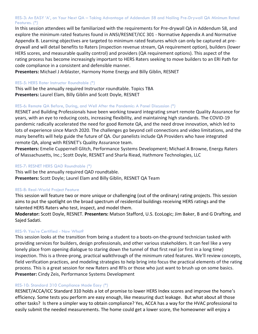#### <span id="page-16-0"></span>RES-3: An EASY 'A', on Your Next QA – Taking Advantage of Addendum 58 and Nailing Pre-Drywall QA Minimum Rated Features. *(\*)*

In this session attendees will be familiarized with the requirements for Pre-drywall QA in Addendum 58, and explore the minimum rated features found in ANSI/RESNET/ICC 301 - Normative Appendix A and Normative Appendix B. Learning objectives are targeted to minimum rated features which can only be captured at predrywall and will detail benefits to Raters (inspection revenue stream, QA requirement option), builders (lower HERS scores, and measurable quality control) and providers (QA requirement options). This aspect of the rating process has become increasingly important to HERS Raters seeking to move builders to an ERI Path for code compliance in a consistent and defensible manner.

**Presenters:** Michael J Arblaster, Harmony Home Energy and Billy Giblin, RESNET

#### <span id="page-16-1"></span>RES-5: HERS Rater Instructor Roundtable *(\*)*

This will be the annually required Instructor roundtable. Topics TBA **Presenters:** Laurel Elam, Billy Giblin and Scott Doyle, RESNET

#### <span id="page-16-2"></span>RES-6: Remote QA Before, During, and Well After the Pandemic: A Panel Discussion *(\*)*

RESNET and Building Professionals have been working toward integrating smart remote Quality Assurance for years, with an eye to reducing costs, increasing flexibility, and maintaining high standards. The COVID-19 pandemic radically accelerated the need for good Remote QA, and the need drove innovation, which led to lots of experience since March 2020. The challenges go beyond cell connections and video limitations, and the many benefits will help guide the future of QA. Our panelists include QA Providers who have integrated remote QA, along with RESNET's Quality Assurance team.

**Presenters:** Emelie Cuppernell Glitch, Performance Systems Development; Michael A Browne, Energy Raters of Massachusetts, Inc.; Scott Doyle, RESNET and Sharla Riead, Hathmore Technologies, LLC

#### <span id="page-16-3"></span>RES-7: RESNET HERS QAD Roundtable *(\*)*

This will be the annually required QAD roundtable. **Presenters:** Scott Doyle; Laurel Elam and Billy Giblin, RESNET QA Team

#### <span id="page-16-4"></span>RES-8: Real-World Project Feature

This session will feature two or more unique or challenging (out of the ordinary) rating projects. This session aims to put the spotlight on the broad spectrum of residential buildings receiving HERS ratings and the talented HERS Raters who test, inspect, and model them.

**Moderator:** Scott Doyle, RESNET. **Presenters:** Matson Stafford, U.S. EcoLogic; Jim Baker, B and G Drafting, and Sajed Sadati.

#### <span id="page-16-5"></span>RES-9: You're Certified - Now What?

This session looks at the transition from being a student to a boots-on-the-ground technician tasked with providing services for builders, design professionals, and other various stakeholders. It can feel like a very lonely place from opening dialogue to staring down the tunnel of that first real (or first in a long time) inspection. This is a three-prong, practical walkthrough of the minimum rated features. We'll review concepts, field verification practices, and modeling strategies to help bring into focus the practical elements of the rating process. This is a great session for new Raters and RFIs or those who just want to brush up on some basics. **Presenter:** Cindy Zeis, Performance Systems Development

#### <span id="page-16-6"></span>RES-10: Standard 310 Compliance Made Easy *(\*)*

RESNET/ACCA/ICC Standard 310 holds a lot of promise to lower HERS Index scores and improve the home's efficiency. Some tests you perform are easy enough, like measuring duct leakage. But what about all those other tasks? Is there a simpler way to obtain compliance? Yes, ACCA has a way for the HVAC professional to easily submit the needed measurements. The home could get a lower score, the homeowner will enjoy a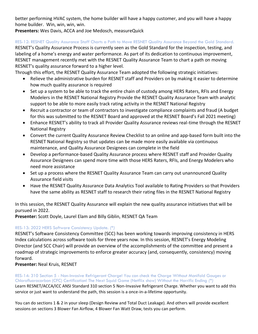better performing HVAC system, the home builder will have a happy customer, and you will have a happy home builder. Win, win, win, win.

**Presenters:** Wes Davis, ACCA and Joe Medosch, measureQuick

<span id="page-17-0"></span>RES-12: RESNET Quality Assurance Staff Charts a Path to Move RESNET Quality Assurance Beyond the Gold Standard.

RESNET's Quality Assurance Process is currently seen as the Gold Standard for the inspection, testing, and labeling of a home's energy and water performance. As part of its dedication to continuous improvement, RESNET management recently met with the RESNET Quality Assurance Team to chart a path on moving RESNET's quality assurance forward to a higher level.

Through this effort, the RESNET Quality Assurance Team adopted the following strategic initiatives:

- Relieve the administrative burden for RESNET staff and Providers on by making it easier to determine how much quality assurance is required
- Set up a system to be able to track the entire chain of custody among HERS Raters, RFIs and Energy Modelers in the RESNET National Registry Provide the RESNET Quality Assurance Team with analytic support to be able to more easily track rating activity in the RESNET National Registry
- Recruit a contractor or team of contractors to investigate compliance complaints and fraud (A budget for this was submitted to the RESNET Board and approved at the RESNET Board's Fall 2021 meeting)
- Enhance RESNET's ability to track all Provider Quality Assurance reviews real-time through the RESNET National Registry
- Convert the current Quality Assurance Review Checklist to an online and app-based form built into the RESNET National Registry so that updates can be made more easily available via continuous maintenance, and Quality Assurance Designees can complete in the field
- Develop a performance-based Quality Assurance process where RESNET staff and Provider Quality Assurance Designees can spend more time with those HERS Raters, RFIs, and Energy Modelers who need more assistance
- Set up a process where the RESNET Quality Assurance Team can carry out unannounced Quality Assurance field visits
- Have the RESNET Quality Assurance Data Analytics Tool available to Rating Providers so that Providers have the same ability as RESNET staff to research their rating files in the RESNET National Registry

In this session, the RESNET Quality Assurance will explain the new quality assurance initiatives that will be pursued in 2022.

**Presenter:** Scott Doyle, Laurel Elam and Billy Giblin, RESNET QA Team

#### <span id="page-17-1"></span>RES-13: 2022 HERS Software Consistency Update. *(\*)*

RESNET's Software Consistency Committee (SCC) has been working towards improving consistency in HERS Index calculations across software tools for three years now. In this session, RESNET's Energy Modeling Director (and SCC Chair) will provide an overview of the accomplishments of the committee and present a roadmap of strategic improvements to enforce greater accuracy (and, consequently, consistency) moving forward.

**Presenter:** Neal Kruis, RESNET

<span id="page-17-2"></span>RES-14: 310 Section 5 - Non-Invasive Refrigerant Charge! You can check the Charge Without Manifold Gauges or Chlorofluorocarbon (CFC) Certification! The Next Squid Game (Netflix show) Without the Horrific Ending *(\*)* Learn RESNET/ACCA/ICC ANSI Standard 310 section 5 Non-Invasive Refrigerant Charge. Whether you want to add this service or just want to understand the path, this session is a once-in-a-lifetime opportunity.

You can do sections 1 & 2 in your sleep (Design Review and Total Duct Leakage). And others will provide excellent sessions on sections 3 Blower Fan Airflow, 4 Blower Fan Watt Draw, tests you can perform.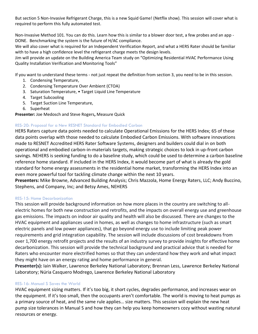But section 5 Non-Invasive Refrigerant Charge, this is a new Squid Game! (Netflix show). This session will cover what is required to perform this fully automated test.

Non-Invasive Method 101. You can do this. Learn how this is similar to a blower door test, a few probes and an app - DONE. Benchmarking the system is the future of H/AC compliance.

We will also cover what is required for an Independent Verification Report, and what a HERS Rater should be familiar with to have a high confidence level the refrigerant charge meets the design levels.

Jim will provide an update on the Building America Team study on "Optimizing Residential HVAC Performance Using Quality Installation Verification and Monitoring Tools"

If you want to understand these terms - not just repeat the definition from section 3, you need to be in this session.

- 1. Condensing Temperature,
- 2. Condensing Temperature Over Ambient (CTOA)
- 3. Saturation Temperature, Target Liquid Line Temperature
- 4. Target Subcooling
- 5. Target Suction Line Temperature,
- 6. Superheat

#### **Presenter:** Joe Medosch and Steve Rogers**,** Measure Quick

#### <span id="page-18-0"></span>RES-20: Proposal for a New RESNET Standard for Embodied Carbon

HERS Raters capture data points needed to calculate Operational Emissions for the HERS Index; 65 of these data points overlap with those needed to calculate Embodied Carbon Emissions. With software innovations made to RESNET Accredited HERS Rater Software Systems, designers and builders could dial in on both operational and embodied carbon-in-materials targets, making strategic choices to lock in up-front carbon savings. NEHERS is seeking funding to do a baseline study, which could be used to determine a carbon baseline reference home standard. If included in the HERS Index, it would become part of what is already the gold standard for home energy assessments in the residential home market, transforming the HERS Index into an even more powerful tool for tackling climate change within the next 10 years.

**Presenters:** Mike Browne, Advanced Building Analysis; Chris Mazzola, Home Energy Raters, LLC; Andy Buccino, Stephens, and Company, Inc; and Betsy Ames, NEHERS

#### <span id="page-18-1"></span>RES-15: Home Decarbonization

This session will provide background information on how more places in the country are switching to allelectric homes for both new construction and retrofits, and the impacts on overall energy use and greenhouse gas emissions. The impacts on indoor air quality and health will also be discussed. There are changes to the HVAC equipment and appliances used in homes, as well as changes to home infrastructure (such as smart electric panels and low power appliances), that go beyond energy use to include limiting peak power requirements and grid integration capability. The session will include discussions of cost breakdowns from over 1,700 energy retrofit projects and the results of an industry survey to provide insights for effective home decarbonization. This session will provide the technical background and practical advice that is needed for Raters who encounter more electrified homes so that they can understand how they work and what impact they might have on an energy rating and home performance in general.

**Presenter(s):** Iain Walker, Lawrence Berkeley National Laboratory; Brennan Less, Lawrence Berkeley National Laboratory; Núria Casquero Modrego, Lawrence Berkeley National Laboratory

#### <span id="page-18-2"></span>RES-16: Manual S Saves the World

HVAC equipment sizing matters. If it's too big, it short cycles, degrades performance, and increases wear on the equipment. If it's too small, then the occupants aren't comfortable. The world is moving to heat pumps as a primary source of heat, and the same rule applies… size matters. This session will explain the new heat pump size tolerances in Manual S and how they can help you keep homeowners cozy without wasting natural resources or energy.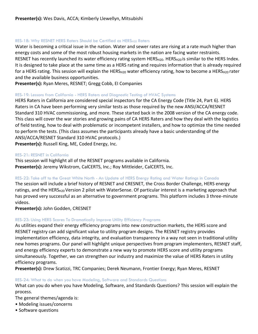#### <span id="page-19-0"></span>RES-18: Why RESNET HERS Raters Should be Certified as HERS<sub>H20</sub> Raters

Water is becoming a critical issue in the nation. Water and sewer rates are rising at a rate much higher than energy costs and some of the most robust housing markets in the nation are facing water restraints. RESNET has recently launched its water efficiency rating system HERS<sub>H20</sub>. HERS<sub>H20</sub> is similar to the HERS Index. It is designed to take place at the same time as a HERS rating and requires information that is already required for a HERS rating. This session will explain the HERS<sub>H20</sub> water efficiency rating, how to become a HERS<sub>H20</sub> rater and the available business opportunities.

**Presenter(s):** Ryan Meres, RESNET; Gregg Cobb, EI Companies

#### <span id="page-19-1"></span>RES-19: Lessons from California - HERS Raters and Diagnostic Testing of HVAC Systems

HERS Raters in California are considered special inspectors for the CA Energy Code (Title 24, Part 6). HERS Raters in CA have been performing very similar tests as those required by the new ANSI/ACCA/RESNET Standard 310 HVAC commissioning, and more. These started back in the 2008 version of the CA energy code. This class will cover the war stories and growing pains of CA HERS Raters and how they deal with the logistics of field testing, how to deal with problematic or incompetent installers, and how to optimize the time needed to perform the tests. (This class assumes the participants already have a basic understanding of the ANSI/ACCA/RESNET Standard 310 HVAC protocols.)

**Presenter(s):** Russell King, ME, Coded Energy, Inc.

#### <span id="page-19-2"></span>RES-21: RESNET in California

This session will highlight all of the RESNET programs available in California. **Presenter(s):** Jeremy Wikstrom, CalCERTS, Inc.; Roy Mittleider, CalCERTS, Inc.

#### <span id="page-19-3"></span>RES-22: Take off to the Great White North - An Update of HERS Energy Rating and Water Ratings in Canada

The session will include a brief history of RESNET and CRESNET, the Cross Border Challenge, HERS energy ratings, and the HERS<sub>H20</sub> Version 2 pilot with WaterSense. Of particular interest is a marketing approach that has proved very successful as an alternative to government programs. This platform includes 3 three-minute videos.

**Presenter(s):** John Godden, CRESNET

#### <span id="page-19-4"></span>RES-23: Using HERS Scores To Dramatically Improve Utility Efficiency Programs

As utilities expand their energy efficiency programs into new construction markets, the HERS score and RESNET registry can add significant value to utility program designs. The RESNET registry provides implementation efficiency, data integrity, and evaluation transparency in a way not seen in traditional utility new homes programs. Our panel will highlight unique perspectives from program implementers, RESNET staff, and energy efficiency experts to demonstrate a new way to promote HERS score and utility programs simultaneously. Together, we can strengthen our industry and maximize the value of HERS Raters in utility efficiency programs.

**Presenter(s):** Drew Scatizzi, TRC Companies; Derek Neumann, Frontier Energy; Ryan Meres, RESNET

#### <span id="page-19-5"></span>RES-24: What to do when you have Modeling, Software and Standards Questions

What can you do when you have Modeling, Software, and Standards Questions? This session will explain the process.

The general themes/agenda is:

- Modeling issues/concerns
- Software questions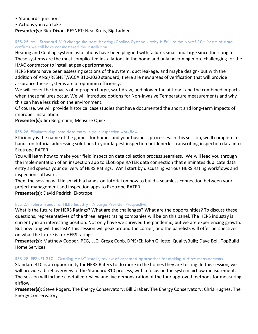- Standards questions
- Actions you can take!

#### **Presenter(s):** Rick Dixon, RESNET; Neal Kruis, Big Ladder

#### <span id="page-20-0"></span>RES-25: Will Standard 310 change the past. Heating/Cooling Systems - Why is Failure the Norm? 10+ Years of data confirms we still have not mastered the installation.

Heating and Cooling system installations have been plagued with failures small and large since their origin. These systems are the most complicated installations in the home and only becoming more challenging for the H/AC contractor to install at peak performance.

HERS Raters have been assessing sections of the system, duct leakage, and maybe design- but with the addition of ANSI/RESNET/ACCA 310-2020 standard, there are new areas of verification that will provide assurance these systems are at optimum efficiency.

We will cover the impacts of improper charge, watt draw, and blower fan airflow - and the combined impacts when these failures occur. We will introduce options for Non-Invasive Temperature measurements and why this can have less risk on the environment.

Of course, we will provide historical case studies that have documented the short and long-term impacts of improper installation.

**Presenter(s):** Jim Bergmann, Measure Quick

#### <span id="page-20-1"></span>RES-26: Eliminate duplicate data entry in your inspection workflow!

Efficiency is the name of the game - for homes and your business processes. In this session, we'll complete a hands-on tutorial addressing solutions to your largest inspection bottleneck - transcribing inspection data into Ekotrope RATER.

You will learn how to make your field inspection data collection process seamless. We will lead you through the implementation of an inspection app to Ekotrope RATER data connection that eliminates duplicate data entry and speeds your delivery of HERS Ratings. We'll start by discussing various HERS Rating workflows and inspection software.

Then, the session will finish with a hands-on tutorial on how to build a seamless connection between your project management and inspection apps to Ekotrope RATER.

**Presenter(s):** David Pedrick, Ekotrope

#### <span id="page-20-2"></span>RES-27: Future Trends for HERS Industry - A Large Provider Prospective

What is the future for HERS Ratings? What are the challenges? What are the opportunities? To discuss these questions, representatives of the three largest rating companies will be on this panel. The HERS industry is currently in an interesting position. Not only have we survived the pandemic, but we are experiencing growth. But how long will this last? This session will peak around the corner, and the panelists will offer perspectives on what the future is for HERS ratings.

**Presenter(s):** Matthew Cooper, PEG, LLC; Gregg Cobb, DPIS/Ei; John Gillette, QualityBuilt; Dave Bell, TopBuild Home Services

#### <span id="page-20-3"></span>RES-28: RESNET 310 - Grading HVAC Installs, review of accepted approaches for making airflow measurements

Standard 310 is an opportunity for HERS Raters to do more in the homes they are testing. In this session, we will provide a brief overview of the Standard 310 process, with a focus on the system airflow measurement. The session will include a detailed review and live demonstration of the four approved methods for measuring airflow.

**Presenter(s):** Steve Rogers, The Energy Conservatory; Bill Graber, The Energy Conservatory; Chris Hughes, The Energy Conservatory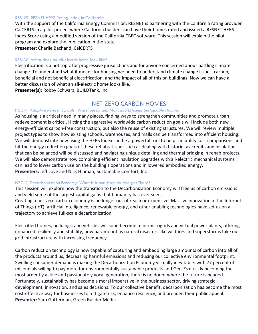#### <span id="page-21-0"></span>RES-29: RESNET HERS Rating Index in California

With the support of the California Energy Commission, RESNET is partnering with the California rating provider CalCERTS in a pilot project where California builders can have their homes rated and issued a RESNET HERS Index Score using a modified version of the California CBEC software. This session will explain the pilot program and explore the implication in the state.

**Presenter:** Charlie Bachand, CalCERTS

#### <span id="page-21-1"></span>RES-30: What does an all-electric home look like?

Electrification is a hot topic for progressive jurisdictions and for anyone concerned about battling climate change. To understand what it means for housing we need to understand climate change issues, carbon, beneficial and not beneficial electrification, and the impact of all of this on buildings. Now we can have a better discussion of what an all-electric home looks like.

**Presenter(s):** Robby Schwarz, BUILDTank, Inc.

# NET-ZERO CARBON HOMES

#### <span id="page-21-3"></span><span id="page-21-2"></span>NZC-1: *Adaptive Re-use: Schools, Warehouses, and Malls into Efficient Sustainable Housing*

As housing is a critical need in many places, finding ways to strengthen communities and promote urban redevelopment is critical. Hitting the aggressive worldwide carbon reduction goals will include both new energy-efficient carbon-free construction, but also the reuse of existing structures. We will review multiple project types to show how existing schools, warehouses, and malls can be transformed into efficient housing. We will demonstrate how using the HERS Index can be a powerful tool to help run utility cost comparisons and hit the energy reduction goals of these rehabs. Issues such as dealing with historic tax credits and insulation that can be balanced will be discussed and navigating unique detailing and thermal bridging in rehab projects. We will also demonstrate how combining efficient insulation upgrades with all-electric mechanical systems can lead to lower carbon use on the building's operations and in lowered embodied energy. **Presenters:** Jeff Love and Nick Hinman, Sustainable Comfort, Inc

#### <span id="page-21-4"></span>NZC-2: Decarbonization Economy: What is it and How do We get There?

This session will explore how the transition to the Decarbonization Economy will free us of carbon emissions and yield some of the largest capital gains that humanity has ever seen.

Creating a net-zero carbon economy is no longer out of reach or expensive. Massive innovation in the Internet of Things (IoT), artificial intelligence, renewable energy, and other enabling technologies have set us on a trajectory to achieve full-scale decarbonization.

Electrified homes, buildings, and vehicles will soon become mini-microgrids and virtual power plants, offering enhanced resiliency and stability, now paramount as natural disasters like wildfires and superstorms take out grid infrastructure with increasing frequency.

Carbon reduction technology is now capable of capturing and embedding large amounts of carbon into all of the products around us, decreasing harmful emissions and reducing our collective environmental footprint. Swelling consumer demand is making the Decarbonization Economy virtually inevitable: with 77 percent of millennials willing to pay more for environmentally sustainable products and Gen-Zs quickly becoming the most ardently active and passionately vocal generation, there is no doubt where the future is headed. Fortunately, sustainability has become a moral imperative in the business sector, driving strategic development, innovation, and sales decisions. To our collective benefit, decarbonization has become the most cost-effective way for businesses to mitigate risk, enhance resiliency, and broaden their public appeal. **Presenter:** Sara Gutterman, Green Builder Media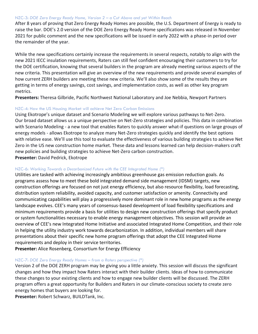#### <span id="page-22-0"></span>NZC-3: *DOE Zero Energy Ready Home, Version 2 – a Cut Above and yet Within Reach*

After 8 years of proving that Zero Energy Ready Homes are possible, the U.S. Department of Energy is ready to raise the bar. DOE's 2.0 version of the DOE Zero Energy Ready Home specifications was released in November 2021 for public comment and the new specifications will be issued in early 2022 with a phase-in period over the remainder of the year.

While the new specifications certainly increase the requirements in several respects, notably to align with the new 2021 IECC insulation requirements, Raters can still feel confident encouraging their customers to try for the DOE certification, knowing that several builders in the program are already meeting various aspects of the new criteria. This presentation will give an overview of the new requirements and provide several examples of how current ZERH builders are meeting these new criteria. We'll also show some of the results they are getting in terms of energy savings, cost savings, and implementation costs, as well as other key program metrics.

**Presenters:** Theresa Gilbride, Pacific Northwest National Laboratory and Joe Nebbia, Newport Partners

#### <span id="page-22-1"></span>NZC-4: How the US Housing Market will achieve Net Zero Carbon Emissions

Using Ekotrope's unique dataset and Scenario Modeling we will explore various pathways to Net-Zero. Our broad dataset allows us a unique perspective on Net-Zero strategies and policies. This data in combination with Scenario Modeling - a new tool that enables Raters to quickly answer what-if questions on large groups of energy models - allows Ekotrope to analyze many Net-Zero strategies quickly and identify the best options with relative ease. We'll use this tool to evaluate the effectiveness of various building strategies to achieve Net Zero in the US new construction home market. These data and lessons learned can help decision-makers craft new policies and building strategies to achieve Net-Zero carbon construction. **Presenter:** David Pedrick, Ekotrope

#### <span id="page-22-2"></span>NZC-6: *Working Towards a Decarbonized Future with the CEE Integrated Home (\*)*

Utilities are tasked with achieving increasingly ambitious greenhouse gas emission reduction goals. As programs assess how to meet these bold integrated demand side management (IDSM) targets, new construction offerings are focused on not just energy efficiency, but also resource flexibility, load forecasting, distribution system reliability, avoided capacity, and customer satisfaction or amenity. Connectivity and communicating capabilities will play a progressively more dominant role in new home programs as the energy landscape evolves. CEE's many years of consensus-based development of load flexibility specifications and minimum requirements provide a basis for utilities to design new construction offerings that specify product or system functionalities necessary to enable energy management objectives. This session will provide an overview of CEE's new Integrated Home Initiative and associated Integrated Home Competition, and their role in helping the utility industry work towards decarbonization. In addition, individual members will share presentations about their specific new home program offerings that adopt the CEE Integrated Home requirements and deploy in their service territories.

**Presenter:** Alice Rosenberg, Consortium for Energy Efficiency

#### <span id="page-22-3"></span>NZC-7: *DOE Zero Energy Ready Homes – from a Raters perspective (\*)*

Version 2 of the DOE ZERH program may be giving you a little anxiety. This session will discuss the significant changes and how they impact how Raters interact with their builder clients. Ideas of how to communicate these changes to your existing clients and how to engage new builder clients will be discussed. The ZERH program offers a great opportunity for Builders and Raters in our climate-conscious society to create zero energy homes that buyers are looking for.

**Presenter:** Robert Schwarz, BUILDTank, Inc.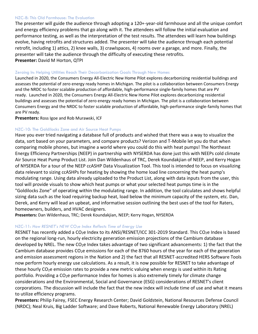#### <span id="page-23-0"></span>NZC-8: This Old Farmhouse: The Evaluation

The presenter will guide the audience through adopting a 120+-year-old farmhouse and all the unique comfort and energy efficiency problems that go along with it. The attendees will follow the initial evaluation and performance testing, as well as the interpretation of the test results. The attendees will learn how buildings evolve, having retrofits and structures added. The presenter will take the audience through each potential retrofit, including 1) attics, 2) knee walls, 3) crawlspaces, 4) rooms over a garage, and more. Finally, the presenter will take the audience through the difficulty of executing these retrofits. **Presenter:** David M Horton, QTPI

#### <span id="page-23-1"></span>Zeroing In: Helping Utilities Reach Their Decarbonization Goals Through New Homes

Launched in 2020, the Consumers Energy All-Electric New Home Pilot explores decarbonizing residential buildings and assesses the potential of zero energy ready homes in Michigan. The pilot is a collaboration between Consumers Energy and the NRDC to foster scalable production of affordable, high-performance single-family homes that are PV ready. Launched in 2020, the Consumers Energy All-Electric New Home Pilot explores decarbonizing residential buildings and assesses the potential of zero energy ready homes in Michigan. The pilot is a collaboration between Consumers Energy and the NRDC to foster scalable production of affordable, high-performance single-family homes that are PV ready.

**Presenters:** Ross Igoe and Rob Murawski, ICF

#### <span id="page-23-2"></span>NZC-10: The Goldilocks Zone and Air Source Heat Pumps

Have you ever tried navigating a database full of products and wished that there was a way to visualize the data, sort based on your parameters, and compare products? Verizon and T-Mobile let you do that when comparing mobile phones, but imagine a world where you could do this with heat pumps! The Northeast Energy Efficiency Partnerships (NEEP) in partnership with NYSERDA has done just this with NEEPs cold climate Air Source Heat Pump Product List. Join Dan Wildenhaus of TRC, Derek Koundakjian of NEEP, and Kerry Hogan of NYSERDA for a tour of the NEEP ccASHP Data Visualization Tool. This tool is intended to focus on visualizing data relevant to sizing ccASHPs for heating by showing the home load line concerning the heat pump's modulating range. Using data already uploaded to the Product List, along with data inputs from the user, this tool will provide visuals to show which heat pumps or what your selected heat pumps time is in the "Goldilocks Zone" of operating within the modulating range. In addition, the tool calculates and shows helpful sizing data such as the load requiring backup heat, load below the minimum capacity of the system, etc. Dan, Derek, and Kerry will lead an upbeat, and informative session outlining the best uses of the tool for Raters, homeowners, builders, and HVAC designers.

**Presenters:** Dan Wildenhaus, TRC; Derek Koundakjian, NEEP; Kerry Hogan, NYSERDA

#### <span id="page-23-3"></span>NZC-11: *How RESNET's NEW CO2e Index Reflects Time of Energy Use*

RESNET has recently added a CO<sub>2</sub>e Index to its ANSI/RESNET/ICC 301-2019 Standard. This CO<sub>2</sub>e Index is based on the regional long-run, hourly electricity generation emission projections of the Cambium database developed by NREL. The new  $CO<sub>2</sub>e$  Index takes advantage of two significant advancements: 1) the fact that the Cambium database provides  $CO<sub>2</sub>e$  emissions for each of the 8760 hours of the year for each of the generation and emission assessment regions in the Nation and 2) the fact that all RESNET-accredited HERS Software Tools now perform hourly energy use calculations. As a result, it is now possible for RESNET to take advantage of these hourly CO<sub>2</sub>e emission rates to provide a new metric valuing when energy is used within its Rating portfolio. Providing a  $CO<sub>2</sub>e$  performance Index for homes is also extremely timely for climate change considerations and the Environmental, Social and Governance (ESG) considerations of RESNET's client corporations. The discussion will include the fact that the new index will include time of use and what it means to utilize efficiency programs.

**Presenters:** Philip Fairey, FSEC Energy Research Center; David Goldstein, National Resources Defense Council (NRDC); Neal Kruis, Big Ladder Software; and Dave Roberts, National Renewable Energy Laboratory (NREL)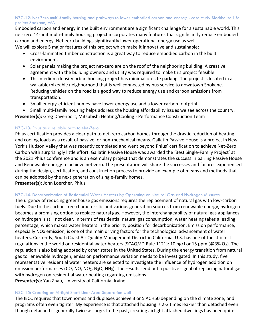#### <span id="page-24-0"></span>NZC-12: Net Zero multi-family housing and pathways to lower embodied carbon and energy - case study Blockhouse Life project Spokane, WA

Embodied carbon and energy in the built environment are a significant challenge for a sustainable world. This net-zero 14-unit multi-family housing project incorporates many features that significantly reduce embodied carbon and energy. Net-zero buildings significantly lower operational energy use as well.

We will explore 5 major features of this project which make it innovative and sustainable:

- Cross-laminated timber construction is a great way to reduce embodied carbon in the built environment.
- Solar panels making the project net-zero are on the roof of the neighboring building. A creative agreement with the building owners and utility was required to make this project feasible.
- This medium-density urban housing project has minimal on-site parking. The project is located in a walkable/bikeable neighborhood that is well connected by bus service to downtown Spokane. Reducing vehicles on the road is a good way to reduce energy use and carbon emissions from transportation.
- Small energy-efficient homes have lower energy use and a lower carbon footprint.
- Small multi-family housing helps address the housing affordability issues we see across the country.

**Presenter(s):** Greg Davenport, Mitsubishi Heating/Cooling - Performance Construction Team

#### <span id="page-24-1"></span>NZC-13: Phius as a reliable path to Net-Zero

Phius certification provides a clear path to net-zero carbon homes through the drastic reduction of heating and cooling loads as a result of passive, or non-mechanical means. Gallatin Passive House is a project in New York's Hudson Valley that was recently completed and went beyond Phius' certification to achieve Net-Zero Carbon with surprisingly little effort. Gallatin Passive House was awarded the 'Best Single-Family Project' at the 2021 Phius conference and is an exemplary project that demonstrates the success in pairing Passive House and Renewable energy to achieve net-zero. The presentation will share the successes and failures experienced during the design, certification, and construction process to provide an example of means and methods that can be adopted by the next generation of single-family homes.

**Presenter(s):** John Loercher, Phius

#### <span id="page-24-2"></span>NZC-14: Decarbonization of Residential Water Heaters by Operating on Natural Gas and Hydrogen Mixtures

The urgency of reducing greenhouse gas emissions requires the replacement of natural gas with low-carbon fuels. Due to the carbon-free characteristic and various generation sources from renewable energy, hydrogen becomes a promising option to replace natural gas. However, the interchangeability of natural gas appliances on hydrogen is still not clear. In terms of residential natural gas consumption, water heating takes a leading percentage, which makes water heaters in the priority position for decarbonization. Emission performance, especially NOx emission, is one of the main driving factors for the technological advancement of water heaters. Currently, South Coast Air Quality Management District in California, U.S. has one of the strictest regulations in the world on residential water heaters (SCAQMD Rule 1121): 10 ng/J or 15 ppm (@3% O<sub>2</sub>). The regulation is also being adopted by other states in the United States. During the energy transition from natural gas to renewable hydrogen, emission performance variation needs to be investigated. In this study, five representative residential water heaters are selected to investigate the influence of hydrogen addition on emission performances (CO, NO, NO<sub>2</sub>, N<sub>2</sub>O, NH<sub>3</sub>). The results send out a positive signal of replacing natural gas with hydrogen on residential water heating regarding emissions. **Presenter(s):** Yan Zhao, University of California, Irvine

#### <span id="page-24-3"></span>NZC-15: Creating an Airtight Shaft Liner Area Separation wall

The IECC requires that townhomes and duplexes achieve 3 or 5 ACH50 depending on the climate zone, and programs often even tighter. My experience is that attached housing is 2-3 times leakier than detached even though detached is generally twice as large. In the past, creating airtight attached dwellings has been quite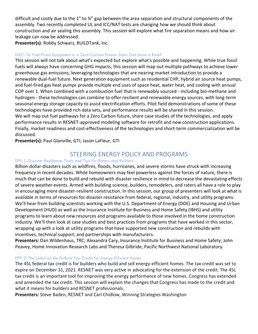difficult and costly due to the 1" to ¾" gap between the area separation and structural components of the assembly. Two recently completed UL and ICC/NAT tests are changing how we should think about construction and air sealing this assembly. This session will explore what fire separation means and how air leakage can now be addressed.

**Presenter(s)**: Robby Schwarz, BUILDTank, Inc.

#### <span id="page-25-0"></span>NZC-16: Fuel-Fired Equipment in a Zero Carbon Future: Does Gas have a Role?

This session will not talk about what's expected but explore what's possible and happening. While true fossil fuels will always have concerning GHG impacts, this session will map out multiple pathways to achieve lower greenhouse gas emissions, leveraging technologies that are nearing market introduction to provide a renewable dual-fuel future. Next generation equipment such as residential CHP, hybrid air source heat pumps, and fuel-fired gas heat pumps provide multiple end uses of space heat, water heat, and cooling with annual COP over 1. When combined with a combustion fuel that is renewably sourced - including bio-methane and hydrogen - these technologies can combine to offer resilient and renewable energy sources, with long-term seasonal energy storage capacity to assist electrification efforts. Pilot field demonstrations of some of these technologies have provided rich data sets, and performance results will be shared in this session. We will map out fuel pathways for a Zero Carbon future, share case studies of the technologies, and apply performance results in RESNET-approved modeling software for retrofit and new construction applications. Finally, market readiness and cost-effectiveness of the technologies and short-term commercialization will be discussed.

**Presenter(s):** Paul Glanville, GTI; Jason LaFleur, GTI

# STEERING ENERGY POLICY AND PROGRAMS

#### <span id="page-25-2"></span><span id="page-25-1"></span>EPP-1: Disaster Resilience: Tools and Tips for Raters and Builders

Billion-dollar disasters such as wildfires, floods, hurricanes, and severe storms have struck with increasing frequency in recent decades. While homeowners may feel powerless against the forces of nature, there is much that can be done to build and rebuild with disaster resilience in mind to decrease the devastating effects of severe weather events. Armed with building science, builders, remodelers, and raters all have a role to play in encouraging more disaster-resilient construction. In this session, our group of presenters will look at what is available in terms of resources for disaster resistance from federal, regional, industry, and utility programs. We'll hear from building scientists working with the U.S. Department of Energy (DOE) and Housing and Urban Development (HUD) as well as the Insurance Institute for Business and Home Safety (IBHS) and utility programs to learn about new resources and programs available to those involved in the home construction industry. We'll then look at case studies and best practices from programs that have worked in this sector, wrapping up with a look at utility programs that have supported new construction and rebuilds with incentives, technical support, and partnerships with manufacturers.

**Presenters:** Dan Wildenhaus, TRC; Alexandra Cary, Insurance Institute for Business and Home Safety; John Peavey, Home Innovation Research Labs and Theresa Gilbride, Pacific Northwest National Laboratory

#### <span id="page-25-3"></span>EPP-2: *The Latest on the Federal Tax Credit for Energy Efficient Homes*

The 45L federal tax credit is for builders who build and sell energy-efficient homes. The tax credit was set to expire on December 31, 2021. RESNET was very active in advocating for the extension of the credit. The 45L tax credit is an important tool for improving the energy performance of new homes. Congress has extended and amended the tax credit. This session will explain the changes that Congress has made to the credit and what it means for builders and RESNET professionals.

**Presenters:** Steve Baden, RESNET and Carl Chidlow, Winning Strategies Washington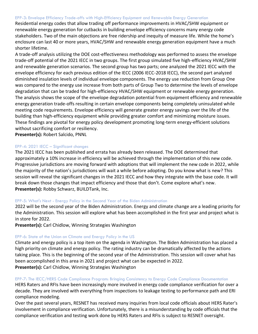#### <span id="page-26-0"></span>EPP-3: Envelope Efficiency Trade-offs with High-Efficiency Equipment and Renewable Energy Generation

Residential energy codes that allow trading off performance improvements in HVAC/SHW equipment or renewable energy generation for cutbacks in building envelope efficiency concerns many energy code stakeholders. Two of the main objections are free ridership and inequity of measure life. While the home's enclosure can last 40 or more years, HVAC/SHW and renewable energy generation equipment have a much shorter lifetime.

A trade-off analysis utilizing the DOE cost-effectiveness methodology was performed to assess the envelope trade-off potential of the 2021 IECC in two groups. The first group simulated five high-efficiency HVAC/SHW and renewable generation scenarios. The second group has two parts; one analyzed the 2021 IECC with the envelope efficiency for each previous edition of the IECC (2006 IECC-2018 IECC), the second part analyzed diminished insulation levels of individual envelope components. The energy use reduction from Group One was compared to the energy use increase from both parts of Group Two to determine the levels of envelope degradation that can be traded for high-efficiency HVAC/SHW equipment or renewable energy generation. The analysis shows the scope of the envelope degradation potential from equipment efficiency and renewable energy generation trade-offs resulting in certain envelope components being completely uninsulated while meeting code requirements. Envelope efficiency will generate greater energy savings over the life of the building than high-efficiency equipment while providing greater comfort and minimizing moisture issues. These findings are pivotal for energy policy development promoting long-term energy-efficient solutions without sacrificing comfort or resiliency.

**Presenter(s):** Robert Salcido, PNNL

#### <span id="page-26-1"></span>EPP-4: 2021 IECC – Significant changes

The 2021 IECC has been published and errata has already been released. The DOE determined that approximately a 10% increase in efficiency will be achieved through the implementation of this new code. Progressive jurisdictions are moving forward with adoptions that will implement the new code in 2022, while the majority of the nation's jurisdictions will wait a while before adopting. Do you know what is new? This session will reveal the significant changes in the 2021 IECC and how they integrate with the base code. It will break down those changes that impact efficiency and those that don't. Come explore what's new. **Presenter(s):** Robby Schwarz, BUILDTank, Inc.

#### <span id="page-26-2"></span>EPP-5: What's Next - Energy Policy in the Second Year of the Biden Administration

2022 will be the second year of the Biden Administration. Energy and climate change are a leading priority for the Administration. This session will explore what has been accomplished in the first year and project what is in store for 2022.

**Presenter(s):** Carl Chidlow, Winning Strategies Washington

#### <span id="page-26-3"></span>EPP-6: State of the Union on Climate and Energy Policy in the US

Climate and energy policy is a top item on the agenda in Washington. The Biden Administration has placed a high priority on climate and energy policy. The rating industry can be dramatically affected by the actions taking place. This is the beginning of the second year of the Administration. This session will cover what has been accomplished in this area in 2021 and project what can be expected in 2022. **Presenter(s):** Carl Chidlow, Winning Strategies Washington

#### <span id="page-26-4"></span>EPP-7: The IECC/HERS Code Compliance Program: Bringing Consistency to Energy Code Compliance Documentation

HERS Raters and RFIs have been increasingly more involved in energy code compliance verification for over a decade. They are involved with everything from inspections to leakage testing to performance path and ERI compliance modeling.

Over the past several years, RESNET has received many inquiries from local code officials about HERS Rater's involvement in compliance verification. Unfortunately, there is a misunderstanding by code officials that the compliance verification and testing work done by HERS Raters and RFIs is subject to RESNET oversight.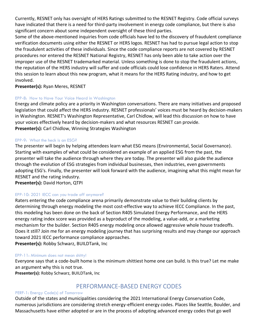Currently, RESNET only has oversight of HERS Ratings submitted to the RESNET Registry. Code official surveys have indicated that there is a need for third-party involvement in energy code compliance, but there is also significant concern about some independent oversight of these third parties.

Some of the above-mentioned inquiries from code officials have led to the discovery of fraudulent compliance verification documents using either the RESNET or HERS logos. RESNET has had to pursue legal action to stop the fraudulent activities of these individuals. Since the code compliance reports are not covered by RESNET procedures nor entered the RESNET National Registry, RESNET has only been able to take action over the improper use of the RESNET trademarked material. Unless something is done to stop the fraudulent actions, the reputation of the HERS industry will suffer and code officials could lose confidence in HERS Raters. Attend this session to learn about this new program, what it means for the HERS Rating industry, and how to get involved.

**Presenter(s):** Ryan Meres, RESNET

#### <span id="page-27-0"></span>EPP-8: How to Have Your Voice Heard in Washington

Energy and climate policy are a priority in Washington conversations. There are many initiatives and proposed legislation that could affect the HERS industry. RESNET professionals' voices must be heard by decision-makers in Washington. RESNET's Washington Representative, Carl Chidlow, will lead this discussion on how to have your voices effectively heard by decision-makers and what resources RESNET can provide. **Presenter(s):** Carl Chidlow, Winning Strategies Washington

#### <span id="page-27-1"></span>EPP-9: What the heck is an ESG?

The presenter will begin by helping attendees learn what ESG means (Environmental, Social Governance). Starting with examples of what could be considered an example of an applied ESG from the past, the presenter will take the audience through where they are today. The presenter will also guide the audience through the evolution of ESG strategies from individual businesses, then industries, even governments adopting ESG's. Finally, the presenter will look forward with the audience, imagining what this might mean for RESNET and the rating industry.

**Presenter(s):** David Horton, QTPI

#### <span id="page-27-2"></span>EPP-10: 2021 IECC can you trade off anymore?

Raters entering the code compliance arena primarily demonstrate value to their building clients by determining through energy modeling the most cost-effective way to achieve IECC Compliance. In the past, this modeling has been done on the back of Section R405 Simulated Energy Performance, and the HERS energy rating index score was provided as a byproduct of the modeling, a value-add, or a marketing mechanism for the builder. Section R405 energy modeling once allowed aggressive whole house tradeoffs. Does it still? Join me for an energy modeling journey that has surprising results and may change our approach toward 2021 IECC performance compliance approaches.

**Presenter(s):** Robby Schwarz, BUILDTank, Inc

#### <span id="page-27-3"></span>EPP-11: Minimum does not mean shitty!

Everyone says that a code-built home is the minimum shittiest home one can build. Is this true? Let me make an argument why this is not true.

**Presenter(s):** Robby Schwarz, BUILDTank, Inc

# PERFORMANCE-BASED ENERGY CODES

#### <span id="page-27-5"></span><span id="page-27-4"></span>PERF-1: Energy Code(s) of Tomorrow

Outside of the states and municipalities considering the 2021 International Energy Conservation Code, numerous jurisdictions are considering stretch energy-efficient energy codes. Places like Seattle, Boulder, and Massachusetts have either adopted or are in the process of adopting advanced energy codes that go well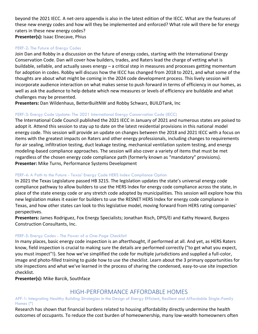beyond the 2021 IECC. A net-zero appendix is also in the latest edition of the IECC. What are the features of these new energy codes and how will they be implemented and enforced? What role will there be for energy raters in these new energy codes? **Presenter(s):** Isaac Elnecave, Phius

#### <span id="page-28-0"></span>PERF-2: The Future of Energy Codes

Join Dan and Robby in a discussion on the future of energy codes, starting with the International Energy Conservation Code. Dan will cover how builders, trades, and Raters lead the charge of vetting what is buildable, sellable, and actually saves energy – a critical step in measures and processes getting momentum for adoption in codes. Robby will discuss how the IECC has changed from 2018 to 2021, and what some of the thoughts are about what might be coming in the 2024 code development process. This lively session will incorporate audience interaction on what makes sense to push forward in terms of efficiency in our homes, as well as ask the audience to help debate which new measures or levels of efficiency are buildable and what challenges may be presented.

**Presenters:** Dan Wildenhaus, BetterBuiltNW and Robby Schwarz, BUILDTank, Inc

#### <span id="page-28-1"></span>PERF-3: Energy Code Update: The 2021 International Energy Conservation Code (IECC)

The International Code Council published the 2021 IECC in January of 2021 and numerous states are poised to adopt it. Attend this session to stay up to date on the latest residential provisions in this national model energy code. This session will provide an update on changes between the 2018 and 2021 IECC with a focus on items with the greatest impacts on Raters and other energy professionals, including changes to requirements for air sealing, infiltration testing, duct leakage testing, mechanical ventilation system testing, and energy modeling-based compliance approaches. The session will also cover a variety of items that must be met regardless of the chosen energy code compliance path (formerly known as "mandatory" provisions). **Presenter:** Mike Turns, Performance Systems Development

#### <span id="page-28-2"></span>PERF-4: A Path to the Future - Texas' Energy Code HERS Index Compliance Option

In 2021 the Texas Legislature passed HB 3215. The legislation updates the state's universal energy code compliance pathway to allow builders to use the HERS Index for energy code compliance across the state, in place of the state energy code or any stretch code adopted by municipalities. This session will explore how this new legislation makes it easier for builders to use the RESNET HERS Index for energy code compliance in Texas, and how other states can look to this legislative model, moving forward from HERS rating companies' perspectives.

**Presenters:** James Rodriguez, Fox Energy Specialists; Jonathan Risch, DPIS/Ei and Kathy Howard, Burgess Construction Consultants, Inc.

#### <span id="page-28-3"></span>PERF-5: Energy Codes - The Power of a One-Page Checklist!

In many places, basic energy code inspection is an afterthought, if performed at all. And yet, as HERS Raters know, field inspection is crucial to making sure the details are performed correctly ("to get what you expect, you must inspect"!). See how we've simplified the code for multiple jurisdictions and supplied a full-color, image and photo-filled training to guide how to use the checklist. Learn about the 3 primary opportunities for site inspections and what we've learned in the process of sharing the condensed, easy-to-use site inspection checklist.

**Presenter(s):** Mike Barcik, Southface

## HIGH-PERFORMANCE AFFORDABLE HOMES

<span id="page-28-5"></span><span id="page-28-4"></span>AFF-1: Integrating Healthy Building Strategies in the Design of Energy Efficient, Resilient and Affordable Single-Family Homes (\*)

Research has shown that financial burdens related to housing affordability directly undermine the health outcomes of occupants. To reduce the cost burden of homeownership, many low-wealth homeowners often